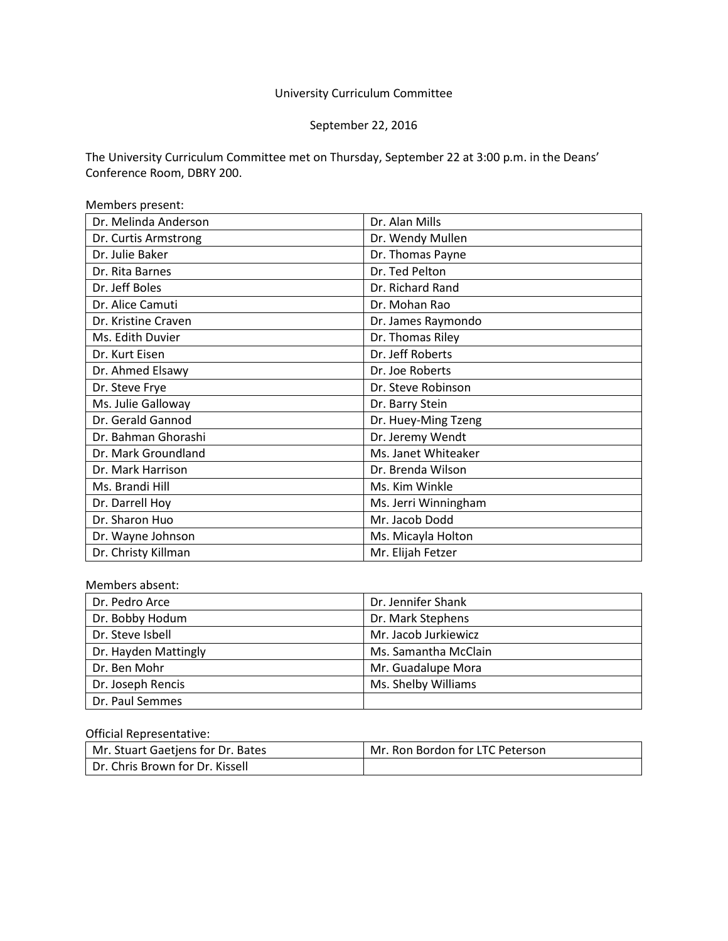# University Curriculum Committee

# September 22, 2016

The University Curriculum Committee met on Thursday, September 22 at 3:00 p.m. in the Deans' Conference Room, DBRY 200.

| Members present:     |                      |
|----------------------|----------------------|
| Dr. Melinda Anderson | Dr. Alan Mills       |
| Dr. Curtis Armstrong | Dr. Wendy Mullen     |
| Dr. Julie Baker      | Dr. Thomas Payne     |
| Dr. Rita Barnes      | Dr. Ted Pelton       |
| Dr. Jeff Boles       | Dr. Richard Rand     |
| Dr. Alice Camuti     | Dr. Mohan Rao        |
| Dr. Kristine Craven  | Dr. James Raymondo   |
| Ms. Edith Duvier     | Dr. Thomas Riley     |
| Dr. Kurt Eisen       | Dr. Jeff Roberts     |
| Dr. Ahmed Elsawy     | Dr. Joe Roberts      |
| Dr. Steve Frye       | Dr. Steve Robinson   |
| Ms. Julie Galloway   | Dr. Barry Stein      |
| Dr. Gerald Gannod    | Dr. Huey-Ming Tzeng  |
| Dr. Bahman Ghorashi  | Dr. Jeremy Wendt     |
| Dr. Mark Groundland  | Ms. Janet Whiteaker  |
| Dr. Mark Harrison    | Dr. Brenda Wilson    |
| Ms. Brandi Hill      | Ms. Kim Winkle       |
| Dr. Darrell Hoy      | Ms. Jerri Winningham |
| Dr. Sharon Huo       | Mr. Jacob Dodd       |
| Dr. Wayne Johnson    | Ms. Micayla Holton   |
| Dr. Christy Killman  | Mr. Elijah Fetzer    |

#### Members absent:

| Dr. Pedro Arce       | Dr. Jennifer Shank   |
|----------------------|----------------------|
| Dr. Bobby Hodum      | Dr. Mark Stephens    |
| Dr. Steve Isbell     | Mr. Jacob Jurkiewicz |
| Dr. Hayden Mattingly | Ms. Samantha McClain |
| Dr. Ben Mohr         | Mr. Guadalupe Mora   |
| Dr. Joseph Rencis    | Ms. Shelby Williams  |
| Dr. Paul Semmes      |                      |

### Official Representative:

| Mr. Stuart Gaetjens for Dr. Bates | Mr. Ron Bordon for LTC Peterson |
|-----------------------------------|---------------------------------|
| Dr. Chris Brown for Dr. Kissell   |                                 |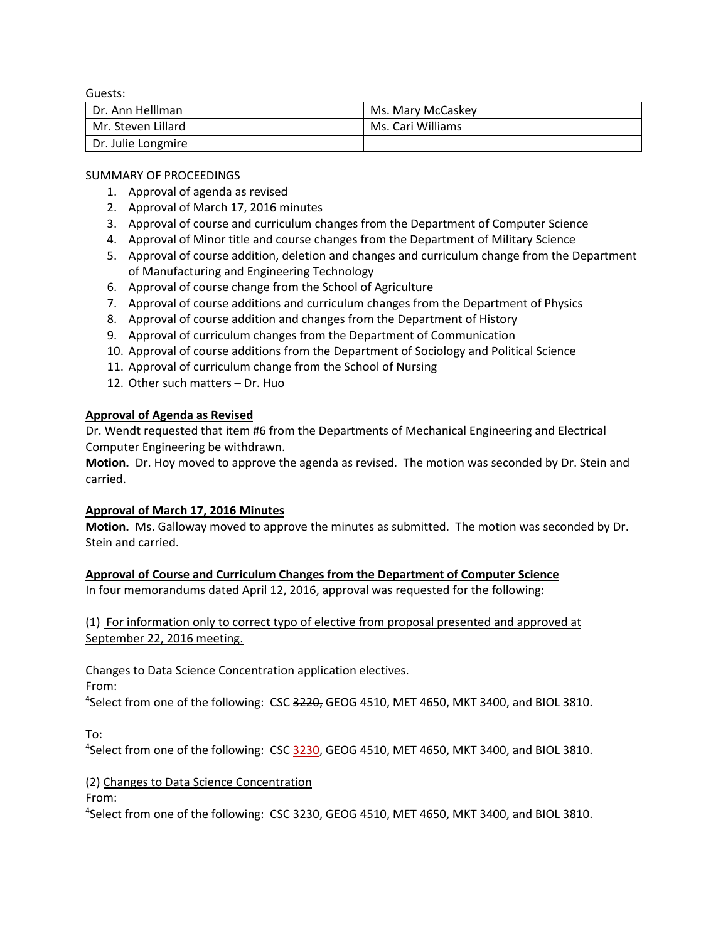Guests:

| Dr. Ann Helllman   | Ms. Mary McCaskey |
|--------------------|-------------------|
| Mr. Steven Lillard | Ms. Cari Williams |
| Dr. Julie Longmire |                   |

SUMMARY OF PROCEEDINGS

- 1. Approval of agenda as revised
- 2. Approval of March 17, 2016 minutes
- 3. Approval of course and curriculum changes from the Department of Computer Science
- 4. Approval of Minor title and course changes from the Department of Military Science
- 5. Approval of course addition, deletion and changes and curriculum change from the Department of Manufacturing and Engineering Technology
- 6. Approval of course change from the School of Agriculture
- 7. Approval of course additions and curriculum changes from the Department of Physics
- 8. Approval of course addition and changes from the Department of History
- 9. Approval of curriculum changes from the Department of Communication
- 10. Approval of course additions from the Department of Sociology and Political Science
- 11. Approval of curriculum change from the School of Nursing
- 12. Other such matters Dr. Huo

# **Approval of Agenda as Revised**

Dr. Wendt requested that item #6 from the Departments of Mechanical Engineering and Electrical Computer Engineering be withdrawn.

**Motion.** Dr. Hoy moved to approve the agenda as revised. The motion was seconded by Dr. Stein and carried.

# **Approval of March 17, 2016 Minutes**

**Motion.** Ms. Galloway moved to approve the minutes as submitted. The motion was seconded by Dr. Stein and carried.

**Approval of Course and Curriculum Changes from the Department of Computer Science**

In four memorandums dated April 12, 2016, approval was requested for the following:

(1) For information only to correct typo of elective from proposal presented and approved at September 22, 2016 meeting.

Changes to Data Science Concentration application electives.

From:

<sup>4</sup>Select from one of the following: CSC 3220, GEOG 4510, MET 4650, MKT 3400, and BIOL 3810.

To:

<sup>4</sup>Select from one of the following: CSC 3230, GEOG 4510, MET 4650, MKT 3400, and BIOL 3810.

# (2) Changes to Data Science Concentration

From:

4 Select from one of the following: CSC 3230, GEOG 4510, MET 4650, MKT 3400, and BIOL 3810.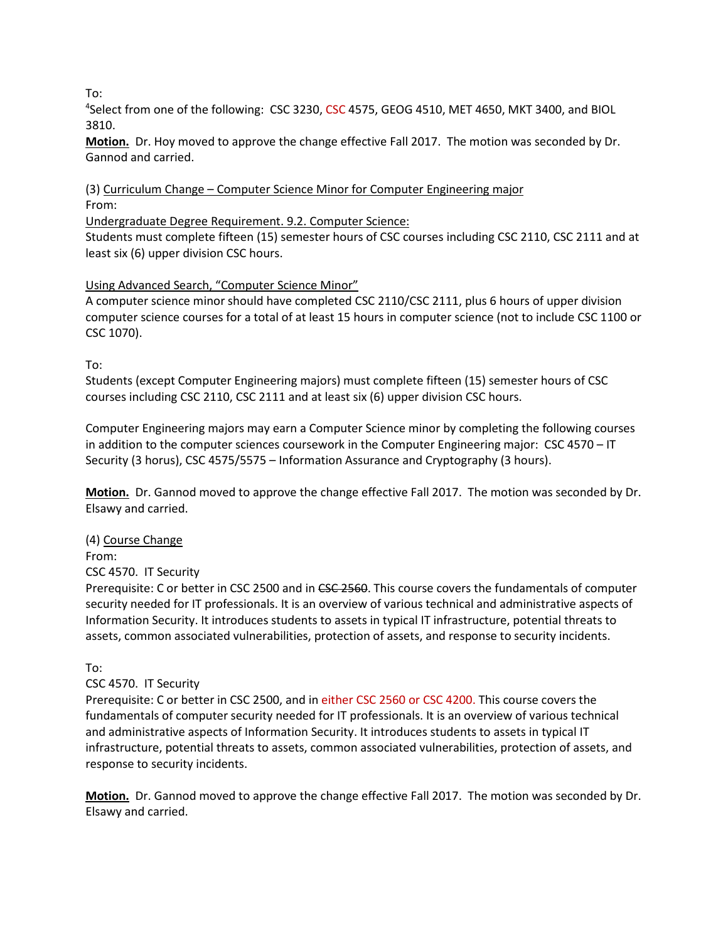To:

<sup>4</sup>Select from one of the following: CSC 3230, CSC 4575, GEOG 4510, MET 4650, MKT 3400, and BIOL 3810.

**Motion.** Dr. Hoy moved to approve the change effective Fall 2017. The motion was seconded by Dr. Gannod and carried.

(3) Curriculum Change – Computer Science Minor for Computer Engineering major From:

Undergraduate Degree Requirement. 9.2. Computer Science:

Students must complete fifteen (15) semester hours of CSC courses including CSC 2110, CSC 2111 and at least six (6) upper division CSC hours.

# Using Advanced Search, "Computer Science Minor"

A computer science minor should have completed CSC 2110/CSC 2111, plus 6 hours of upper division computer science courses for a total of at least 15 hours in computer science (not to include CSC 1100 or CSC 1070).

To:

Students (except Computer Engineering majors) must complete fifteen (15) semester hours of CSC courses including CSC 2110, CSC 2111 and at least six (6) upper division CSC hours.

Computer Engineering majors may earn a Computer Science minor by completing the following courses in addition to the computer sciences coursework in the Computer Engineering major: CSC 4570 – IT Security (3 horus), CSC 4575/5575 – Information Assurance and Cryptography (3 hours).

**Motion.** Dr. Gannod moved to approve the change effective Fall 2017. The motion was seconded by Dr. Elsawy and carried.

# (4) Course Change

From:

CSC 4570. IT Security

Prerequisite: C or better in CSC 2500 and in CSC 2560. This course covers the fundamentals of computer security needed for IT professionals. It is an overview of various technical and administrative aspects of Information Security. It introduces students to assets in typical IT infrastructure, potential threats to assets, common associated vulnerabilities, protection of assets, and response to security incidents.

To:

### CSC 4570. IT Security

Prerequisite: C or better in CSC 2500, and in either CSC 2560 or CSC 4200. This course covers the fundamentals of computer security needed for IT professionals. It is an overview of various technical and administrative aspects of Information Security. It introduces students to assets in typical IT infrastructure, potential threats to assets, common associated vulnerabilities, protection of assets, and response to security incidents.

**Motion.** Dr. Gannod moved to approve the change effective Fall 2017. The motion was seconded by Dr. Elsawy and carried.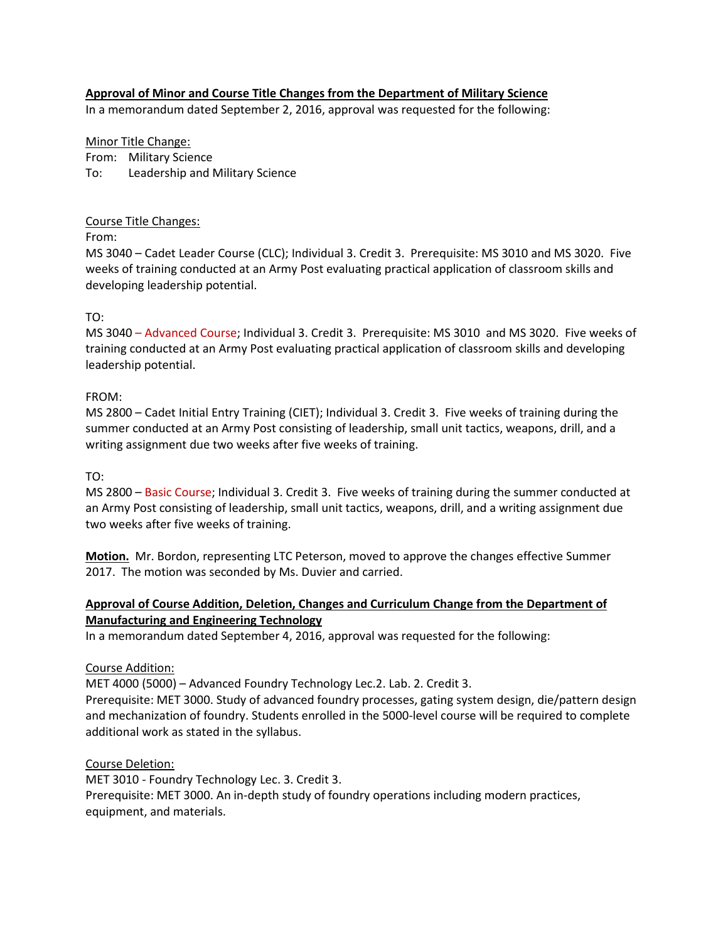## **Approval of Minor and Course Title Changes from the Department of Military Science**

In a memorandum dated September 2, 2016, approval was requested for the following:

Minor Title Change: From: Military Science To: Leadership and Military Science

### Course Title Changes:

From:

MS 3040 – Cadet Leader Course (CLC); Individual 3. Credit 3. Prerequisite: MS 3010 and MS 3020. Five weeks of training conducted at an Army Post evaluating practical application of classroom skills and developing leadership potential.

### TO:

MS 3040 – Advanced Course; Individual 3. Credit 3. Prerequisite: MS 3010 and MS 3020. Five weeks of training conducted at an Army Post evaluating practical application of classroom skills and developing leadership potential.

### FROM:

MS 2800 – Cadet Initial Entry Training (CIET); Individual 3. Credit 3. Five weeks of training during the summer conducted at an Army Post consisting of leadership, small unit tactics, weapons, drill, and a writing assignment due two weeks after five weeks of training.

TO:

MS 2800 – Basic Course; Individual 3. Credit 3. Five weeks of training during the summer conducted at an Army Post consisting of leadership, small unit tactics, weapons, drill, and a writing assignment due two weeks after five weeks of training.

**Motion.** Mr. Bordon, representing LTC Peterson, moved to approve the changes effective Summer 2017. The motion was seconded by Ms. Duvier and carried.

# **Approval of Course Addition, Deletion, Changes and Curriculum Change from the Department of Manufacturing and Engineering Technology**

In a memorandum dated September 4, 2016, approval was requested for the following:

### Course Addition:

MET 4000 (5000) – Advanced Foundry Technology Lec.2. Lab. 2. Credit 3. Prerequisite: MET 3000. Study of advanced foundry processes, gating system design, die/pattern design and mechanization of foundry. Students enrolled in the 5000-level course will be required to complete additional work as stated in the syllabus.

Course Deletion: MET 3010 - Foundry Technology Lec. 3. Credit 3. Prerequisite: MET 3000. An in-depth study of foundry operations including modern practices, equipment, and materials.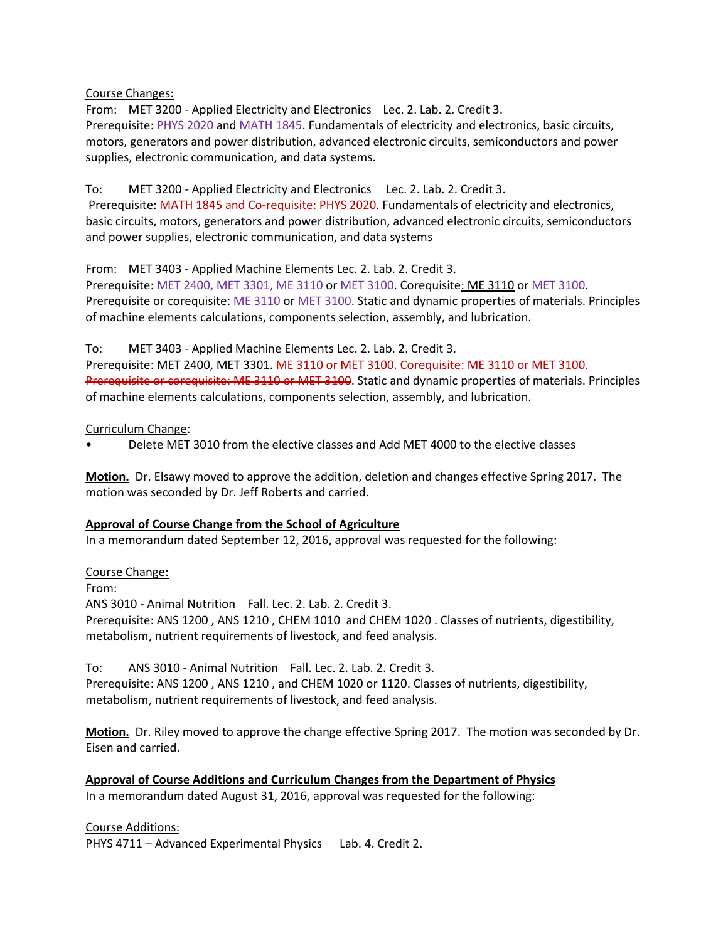Course Changes:

From: MET 3200 - Applied Electricity and Electronics Lec. 2. Lab. 2. Credit 3. Prerequisite: PHYS 2020 and MATH 1845. Fundamentals of electricity and electronics, basic circuits, motors, generators and power distribution, advanced electronic circuits, semiconductors and power supplies, electronic communication, and data systems.

To: MET 3200 - Applied Electricity and Electronics Lec. 2. Lab. 2. Credit 3. Prerequisite: MATH 1845 and Co-requisite: PHYS 2020. Fundamentals of electricity and electronics, basic circuits, motors, generators and power distribution, advanced electronic circuits, semiconductors and power supplies, electronic communication, and data systems

From: MET 3403 - Applied Machine Elements Lec. 2. Lab. 2. Credit 3.

Prerequisite: MET 2400, MET 3301, ME 3110 or MET 3100. Corequisite: ME 3110 or MET 3100. Prerequisite or corequisite: ME 3110 or MET 3100. Static and dynamic properties of materials. Principles of machine elements calculations, components selection, assembly, and lubrication.

To: MET 3403 - Applied Machine Elements Lec. 2. Lab. 2. Credit 3.

Prerequisite: MET 2400, MET 3301. ME 3110 or MET 3100. Corequisite: ME 3110 or MET 3100. Prerequisite or corequisite: ME 3110 or MET 3100. Static and dynamic properties of materials. Principles of machine elements calculations, components selection, assembly, and lubrication.

Curriculum Change:

• Delete MET 3010 from the elective classes and Add MET 4000 to the elective classes

**Motion.** Dr. Elsawy moved to approve the addition, deletion and changes effective Spring 2017. The motion was seconded by Dr. Jeff Roberts and carried.

# **Approval of Course Change from the School of Agriculture**

In a memorandum dated September 12, 2016, approval was requested for the following:

Course Change:

From:

ANS 3010 - Animal Nutrition Fall. Lec. 2. Lab. 2. Credit 3. Prerequisite: ANS 1200 , ANS 1210 , CHEM 1010 and CHEM 1020 . Classes of nutrients, digestibility, metabolism, nutrient requirements of livestock, and feed analysis.

To: ANS 3010 - Animal Nutrition Fall. Lec. 2. Lab. 2. Credit 3. Prerequisite: ANS 1200 , ANS 1210 , and CHEM 1020 or 1120. Classes of nutrients, digestibility, metabolism, nutrient requirements of livestock, and feed analysis.

**Motion.** Dr. Riley moved to approve the change effective Spring 2017. The motion was seconded by Dr. Eisen and carried.

**Approval of Course Additions and Curriculum Changes from the Department of Physics** In a memorandum dated August 31, 2016, approval was requested for the following:

Course Additions:

PHYS 4711 – Advanced Experimental Physics Lab. 4. Credit 2.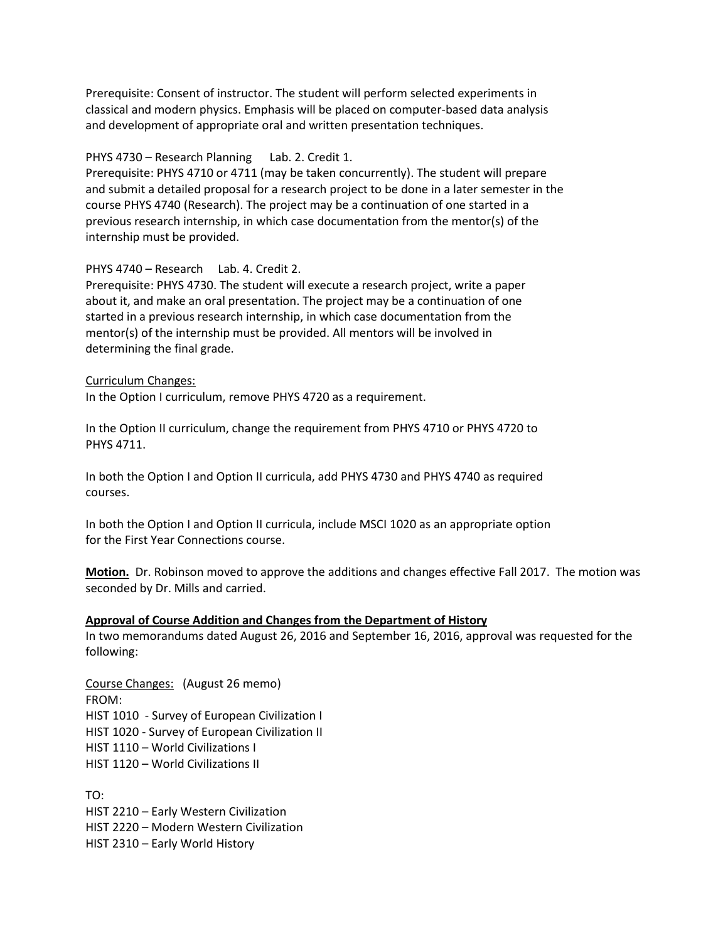Prerequisite: Consent of instructor. The student will perform selected experiments in classical and modern physics. Emphasis will be placed on computer-based data analysis and development of appropriate oral and written presentation techniques.

### PHYS 4730 – Research Planning Lab. 2. Credit 1.

Prerequisite: PHYS 4710 or 4711 (may be taken concurrently). The student will prepare and submit a detailed proposal for a research project to be done in a later semester in the course PHYS 4740 (Research). The project may be a continuation of one started in a previous research internship, in which case documentation from the mentor(s) of the internship must be provided.

### PHYS 4740 – Research Lab. 4. Credit 2.

Prerequisite: PHYS 4730. The student will execute a research project, write a paper about it, and make an oral presentation. The project may be a continuation of one started in a previous research internship, in which case documentation from the mentor(s) of the internship must be provided. All mentors will be involved in determining the final grade.

#### Curriculum Changes:

In the Option I curriculum, remove PHYS 4720 as a requirement.

In the Option II curriculum, change the requirement from PHYS 4710 or PHYS 4720 to PHYS 4711.

In both the Option I and Option II curricula, add PHYS 4730 and PHYS 4740 as required courses.

In both the Option I and Option II curricula, include MSCI 1020 as an appropriate option for the First Year Connections course.

**Motion.** Dr. Robinson moved to approve the additions and changes effective Fall 2017. The motion was seconded by Dr. Mills and carried.

#### **Approval of Course Addition and Changes from the Department of History**

In two memorandums dated August 26, 2016 and September 16, 2016, approval was requested for the following:

Course Changes: (August 26 memo) FROM: HIST 1010 - Survey of European Civilization I HIST 1020 - Survey of European Civilization II HIST 1110 – World Civilizations I HIST 1120 – World Civilizations II

TO: HIST 2210 – Early Western Civilization HIST 2220 – Modern Western Civilization HIST 2310 – Early World History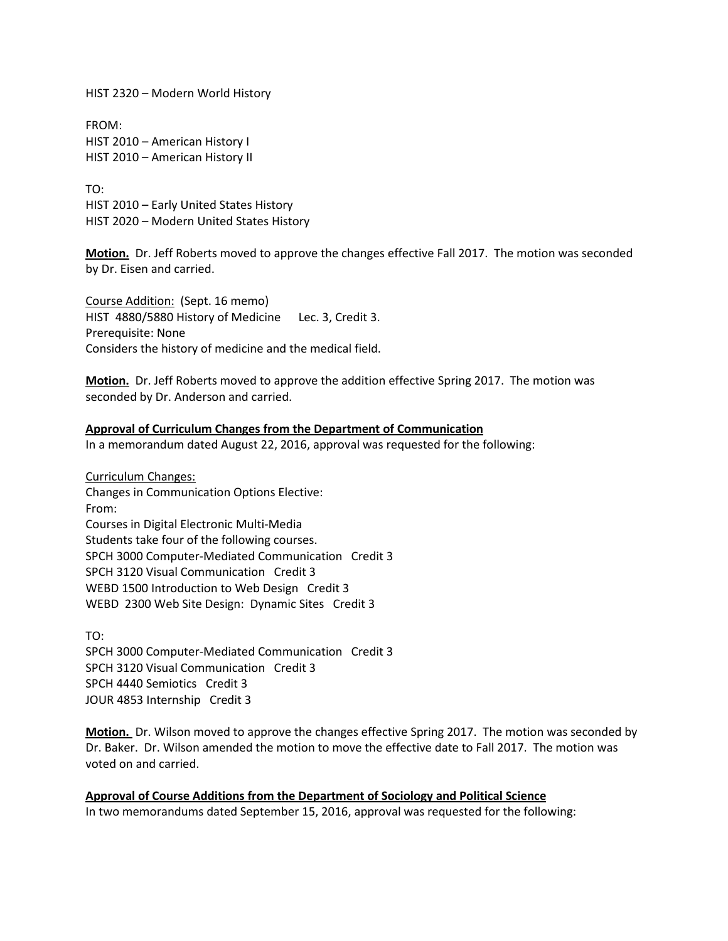HIST 2320 – Modern World History

FROM: HIST 2010 – American History I HIST 2010 – American History II

TO: HIST 2010 – Early United States History HIST 2020 – Modern United States History

**Motion.** Dr. Jeff Roberts moved to approve the changes effective Fall 2017. The motion was seconded by Dr. Eisen and carried.

Course Addition: (Sept. 16 memo) HIST 4880/5880 History of Medicine Lec. 3, Credit 3. Prerequisite: None Considers the history of medicine and the medical field.

**Motion.** Dr. Jeff Roberts moved to approve the addition effective Spring 2017. The motion was seconded by Dr. Anderson and carried.

### **Approval of Curriculum Changes from the Department of Communication**

In a memorandum dated August 22, 2016, approval was requested for the following:

Curriculum Changes: Changes in Communication Options Elective: From: Courses in Digital Electronic Multi-Media Students take four of the following courses. SPCH 3000 Computer-Mediated Communication Credit 3 SPCH 3120 Visual Communication Credit 3 WEBD 1500 Introduction to Web Design Credit 3 WEBD 2300 Web Site Design: Dynamic Sites Credit 3

TO: SPCH 3000 Computer-Mediated Communication Credit 3 SPCH 3120 Visual Communication Credit 3 SPCH 4440 Semiotics Credit 3 JOUR 4853 Internship Credit 3

**Motion.** Dr. Wilson moved to approve the changes effective Spring 2017. The motion was seconded by Dr. Baker. Dr. Wilson amended the motion to move the effective date to Fall 2017. The motion was voted on and carried.

**Approval of Course Additions from the Department of Sociology and Political Science** In two memorandums dated September 15, 2016, approval was requested for the following: